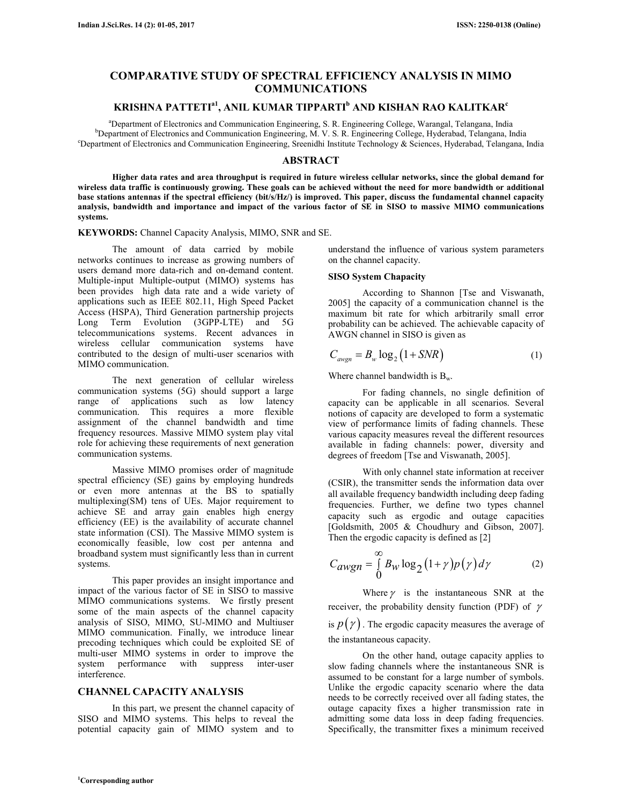# **COMPARATIVE STUDY OF SPECTRAL EFFICIENCY ANALYSIS IN MIMO COMMUNICATIONS**

# **KRISHNA PATTETIa1, ANIL KUMAR TIPPARTI<sup>b</sup> AND KISHAN RAO KALITKAR<sup>c</sup>**

<sup>a</sup>Department of Electronics and Communication Engineering, S. R. Engineering College, Warangal, Telangana, India <sup>b</sup>Department of Electronics and Communication Engineering, M. V. S. R. Engineering College, Hyderabad, Telangana, India <sup>c</sup>Department of Electronics and Communication Engineering, Sreenidhi Institute Technology & Sciences, Hyderabad, Telangana, India

## **ABSTRACT**

 **Higher data rates and area throughput is required in future wireless cellular networks, since the global demand for wireless data traffic is continuously growing. These goals can be achieved without the need for more bandwidth or additional base stations antennas if the spectral efficiency (bit/s/Hz/) is improved. This paper, discuss the fundamental channel capacity analysis, bandwidth and importance and impact of the various factor of SE in SISO to massive MIMO communications systems.** 

**KEYWORDS:** Channel Capacity Analysis, MIMO, SNR and SE.

 The amount of data carried by mobile networks continues to increase as growing numbers of users demand more data-rich and on-demand content. Multiple-input Multiple-output (MIMO) systems has been provides high data rate and a wide variety of applications such as IEEE 802.11, High Speed Packet Access (HSPA), Third Generation partnership projects Long Term Evolution (3GPP-LTE) and 5G telecommunications systems. Recent advances in wireless cellular communication systems have contributed to the design of multi-user scenarios with MIMO communication.

 The next generation of cellular wireless communication systems (5G) should support a large range of applications such as low latency communication. This requires a more flexible assignment of the channel bandwidth and time frequency resources. Massive MIMO system play vital role for achieving these requirements of next generation communication systems.

 Massive MIMO promises order of magnitude spectral efficiency (SE) gains by employing hundreds or even more antennas at the BS to spatially multiplexing(SM) tens of UEs. Major requirement to achieve SE and array gain enables high energy efficiency (EE) is the availability of accurate channel state information (CSI). The Massive MIMO system is economically feasible, low cost per antenna and broadband system must significantly less than in current systems.

 This paper provides an insight importance and impact of the various factor of SE in SISO to massive MIMO communications systems. We firstly present some of the main aspects of the channel capacity analysis of SISO, MIMO, SU-MIMO and Multiuser MIMO communication. Finally, we introduce linear precoding techniques which could be exploited SE of multi-user MIMO systems in order to improve the system performance with suppress inter-user interference.

### **CHANNEL CAPACITY ANALYSIS**

 In this part, we present the channel capacity of SISO and MIMO systems. This helps to reveal the potential capacity gain of MIMO system and to understand the influence of various system parameters on the channel capacity.

### **SISO System Chapacity**

 According to Shannon [Tse and Viswanath, 2005] the capacity of a communication channel is the maximum bit rate for which arbitrarily small error probability can be achieved. The achievable capacity of AWGN channel in SISO is given as

$$
C_{\text{awgn}} = B_{w} \log_2 \left( 1 + SNR \right) \tag{1}
$$

Where channel bandwidth is  $B_w$ .

 For fading channels, no single definition of capacity can be applicable in all scenarios. Several notions of capacity are developed to form a systematic view of performance limits of fading channels. These various capacity measures reveal the different resources available in fading channels: power, diversity and degrees of freedom [Tse and Viswanath, 2005].

 With only channel state information at receiver (CSIR), the transmitter sends the information data over all available frequency bandwidth including deep fading frequencies. Further, we define two types channel capacity such as ergodic and outage capacities [Goldsmith, 2005 & Choudhury and Gibson, 2007]. Then the ergodic capacity is defined as [2]

$$
C_{awgn} = \int_{0}^{\infty} B_{w} \log_2 (1+\gamma) p(\gamma) d\gamma \tag{2}
$$

Where  $\gamma$  is the instantaneous SNR at the receiver, the probability density function (PDF) of  $\gamma$ is  $p(\gamma)$ . The ergodic capacity measures the average of the instantaneous capacity.

 On the other hand, outage capacity applies to slow fading channels where the instantaneous SNR is assumed to be constant for a large number of symbols. Unlike the ergodic capacity scenario where the data needs to be correctly received over all fading states, the outage capacity fixes a higher transmission rate in admitting some data loss in deep fading frequencies. Specifically, the transmitter fixes a minimum received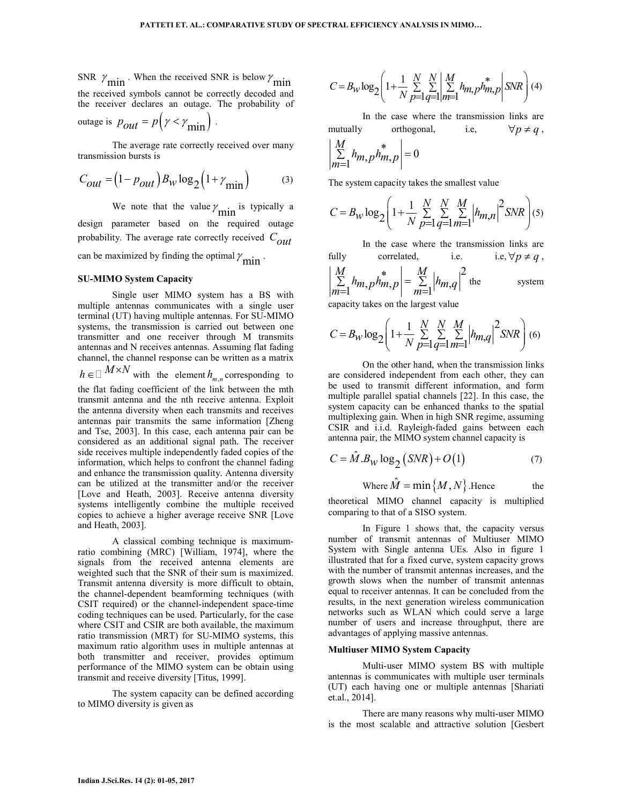SNR  $\gamma_{\text{min}}$  When the received SNR is below  $\gamma_{\text{min}}$ the received symbols cannot be correctly decoded and the receiver declares an outage. The probability of

outage is 
$$
p_{out} = p(y < \gamma_{min})
$$
.

 The average rate correctly received over many transmission bursts is

$$
C_{out} = (1 - p_{out}) B_W \log_2 (1 + \gamma_{min})
$$
 (3)

We note that the value  $\gamma_{\text{min}}$  is typically a design parameter based on the required outage probability. The average rate correctly received *Cout* can be maximized by finding the optimal  $\gamma_{\text{min}}$ .

### **SU-MIMO System Capacity**

 Single user MIMO system has a BS with multiple antennas communicates with a single user terminal (UT) having multiple antennas. For SU-MIMO systems, the transmission is carried out between one transmitter and one receiver through M transmits antennas and N receives antennas. Assuming flat fading channel, the channel response can be written as a matrix  $h \in$  $\in$  *M*×*N* with the element *h*<sub>*m,n</sub>* corresponding to</sub> the flat fading coefficient of the link between the mth transmit antenna and the nth receive antenna. Exploit the antenna diversity when each transmits and receives antennas pair transmits the same information [Zheng and Tse, 2003]. In this case, each antenna pair can be considered as an additional signal path. The receiver side receives multiple independently faded copies of the information, which helps to confront the channel fading and enhance the transmission quality. Antenna diversity can be utilized at the transmitter and/or the receiver [Love and Heath, 2003]. Receive antenna diversity systems intelligently combine the multiple received copies to achieve a higher average receive SNR [Love and Heath, 2003].

 A classical combing technique is maximumratio combining (MRC) [William, 1974], where the signals from the received antenna elements are weighted such that the SNR of their sum is maximized. Transmit antenna diversity is more difficult to obtain, the channel-dependent beamforming techniques (with CSIT required) or the channel-independent space-time coding techniques can be used. Particularly, for the case where CSIT and CSIR are both available, the maximum ratio transmission (MRT) for SU-MIMO systems, this maximum ratio algorithm uses in multiple antennas at both transmitter and receiver, provides optimum performance of the MIMO system can be obtain using transmit and receive diversity [Titus, 1999].

 The system capacity can be defined according to MIMO diversity is given as

$$
C = B_W \log_2 \left( 1 + \frac{1}{N} \sum_{p=1}^{N} \sum_{q=1}^{N} \left| \sum_{m=1}^{M} h_{m,p} h_{m,p}^* \right| SNR \right) (4)
$$

 In the case where the transmission links are mutually orthogonal, i.e,  $\forall p \neq q$ ,

$$
\left|\sum_{m=1}^{M} h_{m,p} h_{m,p}^*\right| = 0
$$

The system capacity takes the smallest value

$$
C = B_W \log_2 \left( 1 + \frac{1}{N} \sum_{p=1}^{N} \sum_{q=1}^{N} \sum_{m=1}^{M} \left| h_{m,n} \right|^2 SNR \right) (5)
$$

 In the case where the transmission links are fully correlated, i.e. i.e,  $\forall p \neq q$ , \*  $\begin{vmatrix} M \\ -M \end{vmatrix}$   $\begin{vmatrix} 2 \end{vmatrix}$  $\left| \int_{1}^{h} m p^{n} p p \right| = \sum_{m=1}^{n} | h_{m,q} |$ *M M*  $\sum_{m=1}^{\infty} h_{m,p} h_{m,p} = \sum_{m=1}^{\infty} |h_{m,q}|$  $\sum h_{m} p h_{m} p = \sum$  $=$ 1  $m, p, m, p \nvert m =$ system

capacity takes on the largest value

$$
C = B_W \log_2 \left( 1 + \frac{1}{N} \sum_{p=1}^{N} \sum_{q=1}^{N} \sum_{m=1}^{M} \left| h_{m,q} \right|^2 SNR \right) (6)
$$

 On the other hand, when the transmission links are considered independent from each other, they can be used to transmit different information, and form multiple parallel spatial channels [22]. In this case, the system capacity can be enhanced thanks to the spatial multiplexing gain. When in high SNR regime, assuming CSIR and i.i.d. Rayleigh-faded gains between each antenna pair, the MIMO system channel capacity is

$$
C = \hat{M}.B_W \log_2 \left( SNR \right) + O(1) \tag{7}
$$

Where 
$$
\hat{M} = \min\{M, N\}
$$
. Hence the

theoretical MIMO channel capacity is multiplied comparing to that of a SISO system.

 In Figure 1 shows that, the capacity versus number of transmit antennas of Multiuser MIMO System with Single antenna UEs. Also in figure 1 illustrated that for a fixed curve, system capacity grows with the number of transmit antennas increases, and the growth slows when the number of transmit antennas equal to receiver antennas. It can be concluded from the results, in the next generation wireless communication networks such as WLAN which could serve a large number of users and increase throughput, there are advantages of applying massive antennas.

### **Multiuser MIMO System Capacity**

 Multi-user MIMO system BS with multiple antennas is communicates with multiple user terminals (UT) each having one or multiple antennas [Shariati et.al., 2014].

 There are many reasons why multi-user MIMO is the most scalable and attractive solution [Gesbert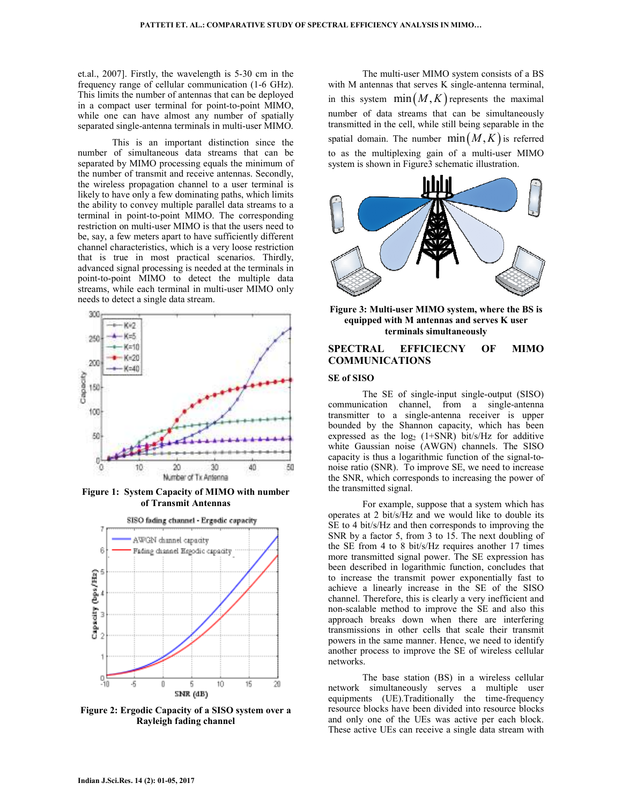et.al., 2007]. Firstly, the wavelength is 5-30 cm in the frequency range of cellular communication (1-6 GHz). This limits the number of antennas that can be deployed in a compact user terminal for point-to-point MIMO, while one can have almost any number of spatially separated single-antenna terminals in multi-user MIMO.

 This is an important distinction since the number of simultaneous data streams that can be separated by MIMO processing equals the minimum of the number of transmit and receive antennas. Secondly, the wireless propagation channel to a user terminal is likely to have only a few dominating paths, which limits the ability to convey multiple parallel data streams to a terminal in point-to-point MIMO. The corresponding restriction on multi-user MIMO is that the users need to be, say, a few meters apart to have sufficiently different channel characteristics, which is a very loose restriction that is true in most practical scenarios. Thirdly, advanced signal processing is needed at the terminals in point-to-point MIMO to detect the multiple data streams, while each terminal in multi-user MIMO only needs to detect a single data stream.



**Figure 1: System Capacity of MIMO with number of Transmit Antennas** 



**Figure 2: Ergodic Capacity of a SISO system over a Rayleigh fading channel** 

 The multi-user MIMO system consists of a BS with M antennas that serves K single-antenna terminal, in this system  $min(M, K)$  represents the maximal number of data streams that can be simultaneously transmitted in the cell, while still being separable in the spatial domain. The number  $min(M, K)$  is referred to as the multiplexing gain of a multi-user MIMO system is shown in Figure3 schematic illustration.



**Figure 3: Multi-user MIMO system, where the BS is equipped with M antennas and serves K user terminals simultaneously** 

# **SPECTRAL EFFICIECNY OF MIMO COMMUNICATIONS**

#### **SE of SISO**

 The SE of single-input single-output (SISO) communication channel, from a single-antenna transmitter to a single-antenna receiver is upper bounded by the Shannon capacity, which has been expressed as the  $log_2$  (1+SNR) bit/s/Hz for additive white Gaussian noise (AWGN) channels. The SISO capacity is thus a logarithmic function of the signal-tonoise ratio (SNR). To improve SE, we need to increase the SNR, which corresponds to increasing the power of the transmitted signal.

 For example, suppose that a system which has operates at 2 bit/s/Hz and we would like to double its SE to 4 bit/s/Hz and then corresponds to improving the SNR by a factor 5, from 3 to 15. The next doubling of the SE from 4 to 8 bit/s/Hz requires another 17 times more transmitted signal power. The SE expression has been described in logarithmic function, concludes that to increase the transmit power exponentially fast to achieve a linearly increase in the SE of the SISO channel. Therefore, this is clearly a very inefficient and non-scalable method to improve the SE and also this approach breaks down when there are interfering transmissions in other cells that scale their transmit powers in the same manner. Hence, we need to identify another process to improve the SE of wireless cellular networks.

 The base station (BS) in a wireless cellular network simultaneously serves a multiple user equipments (UE).Traditionally the time-frequency resource blocks have been divided into resource blocks and only one of the UEs was active per each block. These active UEs can receive a single data stream with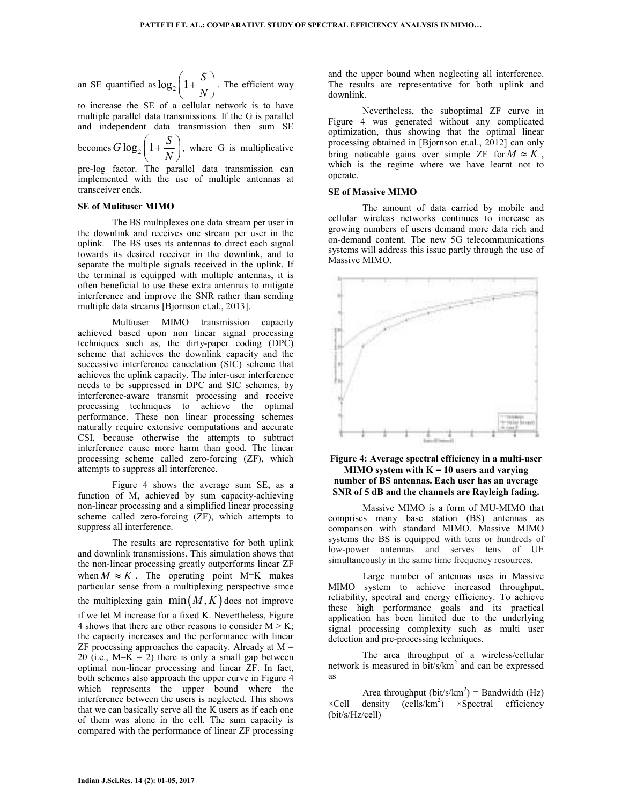an SE quantified as 
$$
\log_2 \left( 1 + \frac{S}{N} \right)
$$
. The efficient way

to increase the SE of a cellular network is to have multiple parallel data transmissions. If the G is parallel and independent data transmission then sum SE

becomes  $G \log_2 \left( 1 + \frac{S}{\Delta} \right)$  $\left(1+\frac{S}{N}\right)$ , where G is multiplicative

pre-log factor. The parallel data transmission can implemented with the use of multiple antennas at transceiver ends.

### **SE of Mulituser MIMO**

 The BS multiplexes one data stream per user in the downlink and receives one stream per user in the uplink. The BS uses its antennas to direct each signal towards its desired receiver in the downlink, and to separate the multiple signals received in the uplink. If the terminal is equipped with multiple antennas, it is often beneficial to use these extra antennas to mitigate interference and improve the SNR rather than sending multiple data streams [Bjornson et.al., 2013].

 Multiuser MIMO transmission capacity achieved based upon non linear signal processing techniques such as, the dirty-paper coding (DPC) scheme that achieves the downlink capacity and the successive interference cancelation (SIC) scheme that achieves the uplink capacity. The inter-user interference needs to be suppressed in DPC and SIC schemes, by interference-aware transmit processing and receive processing techniques to achieve the optimal performance. These non linear processing schemes naturally require extensive computations and accurate CSI, because otherwise the attempts to subtract interference cause more harm than good. The linear processing scheme called zero-forcing (ZF), which attempts to suppress all interference.

 Figure 4 shows the average sum SE, as a function of M, achieved by sum capacity-achieving non-linear processing and a simplified linear processing scheme called zero-forcing (ZF), which attempts to suppress all interference.

 The results are representative for both uplink and downlink transmissions. This simulation shows that the non-linear processing greatly outperforms linear ZF when  $M \approx K$ . The operating point M=K makes particular sense from a multiplexing perspective since the multiplexing gain  $min(M, K)$  does not improve if we let M increase for a fixed K. Nevertheless, Figure 4 shows that there are other reasons to consider  $M > K$ ; the capacity increases and the performance with linear  $ZF$  processing approaches the capacity. Already at  $M =$ 20 (i.e.,  $M=K = 2$ ) there is only a small gap between optimal non-linear processing and linear ZF. In fact, both schemes also approach the upper curve in Figure 4 which represents the upper bound where the interference between the users is neglected. This shows that we can basically serve all the K users as if each one of them was alone in the cell. The sum capacity is compared with the performance of linear ZF processing

and the upper bound when neglecting all interference. The results are representative for both uplink and downlink.

 Nevertheless, the suboptimal ZF curve in Figure 4 was generated without any complicated optimization, thus showing that the optimal linear processing obtained in [Bjornson et.al., 2012] can only bring noticable gains over simple ZF for  $M \approx K$ , which is the regime where we have learnt not to operate.

# **SE of Massive MIMO**

 The amount of data carried by mobile and cellular wireless networks continues to increase as growing numbers of users demand more data rich and on-demand content. The new 5G telecommunications systems will address this issue partly through the use of Massive MIMO.



## **Figure 4: Average spectral efficiency in a multi-user MIMO system with K = 10 users and varying number of BS antennas. Each user has an average SNR of 5 dB and the channels are Rayleigh fading.**

 Massive MIMO is a form of MU-MIMO that comprises many base station (BS) antennas as comparison with standard MIMO. Massive MIMO systems the BS is equipped with tens or hundreds of low-power antennas and serves tens of UE simultaneously in the same time frequency resources.

 Large number of antennas uses in Massive MIMO system to achieve increased throughput, reliability, spectral and energy efficiency. To achieve these high performance goals and its practical application has been limited due to the underlying signal processing complexity such as multi user detection and pre-processing techniques.

 The area throughput of a wireless/cellular network is measured in  $bit/s/km<sup>2</sup>$  and can be expressed as

Area throughput  $(bit/s/km^2)$  = Bandwidth (Hz)  $\times$ Cell density (cells/km<sup>2</sup>)  $\times$ Spectral efficiency (bit/s/Hz/cell)